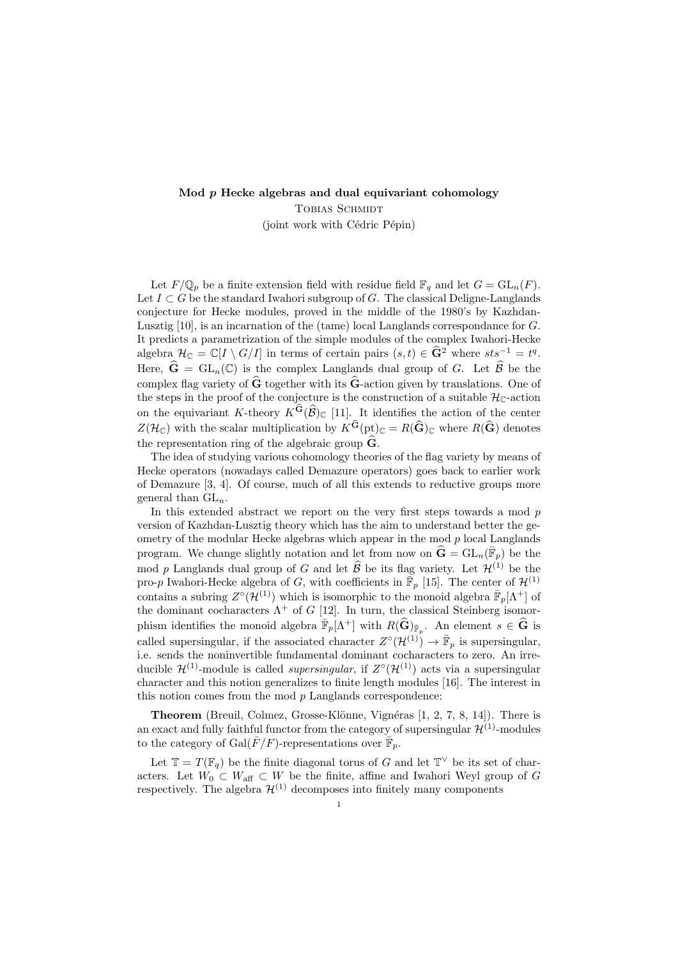## Mod  $p$  Hecke algebras and dual equivariant cohomology Tobias Schmidt (joint work with Cédric Pépin)

Let  $F/\mathbb{Q}_p$  be a finite extension field with residue field  $\mathbb{F}_q$  and let  $G = GL_n(F)$ . Let  $I \subset G$  be the standard Iwahori subgroup of G. The classical Deligne-Langlands conjecture for Hecke modules, proved in the middle of the 1980's by Kazhdan-Lusztig [10], is an incarnation of the (tame) local Langlands correspondance for G. It predicts a parametrization of the simple modules of the complex Iwahori-Hecke algebra  $\mathcal{H}_{\mathbb{C}} = \mathbb{C}[I \setminus G/I]$  in terms of certain pairs  $(s,t) \in \widehat{G}^2$  where  $sts^{-1} = t^q$ . Here,  $\hat{G} = GL_n(\mathbb{C})$  is the complex Langlands dual group of G. Let  $\hat{\beta}$  be the complex flag variety of  $\tilde{G}$  together with its  $\tilde{G}$ -action given by translations. One of the steps in the proof of the conjecture is the construction of a suitable  $\mathcal{H}_{\mathbb{C}}$ -action on the equivariant K-theory  $K^{\mathbf{G}}(\widehat{\mathcal{B}})_{\mathbb{C}}$  [11]. It identifies the action of the center  $Z(\mathcal{H}_{\mathbb{C}})$  with the scalar multiplication by  $K^{\mathbf{G}}(\mathrm{pt})_{\mathbb{C}} = R(\widehat{\mathbf{G}})_{\mathbb{C}}$  where  $R(\widehat{\mathbf{G}})$  denotes the representation ring of the algebraic group  $\widehat{G}$ .

The idea of studying various cohomology theories of the flag variety by means of Hecke operators (nowadays called Demazure operators) goes back to earlier work of Demazure [3, 4]. Of course, much of all this extends to reductive groups more general than  $GL_n$ .

In this extended abstract we report on the very first steps towards a mod  $p$ version of Kazhdan-Lusztig theory which has the aim to understand better the geometry of the modular Hecke algebras which appear in the mod  $p$  local Langlands program. We change slightly notation and let from now on  $\hat{\mathbf{G}} = GL_n(\overline{\mathbb{F}}_p)$  be the mod p Langlands dual group of G and let  $\widehat{\mathcal{B}}$  be its flag variety. Let  $\mathcal{H}^{(1)}$  be the pro-p Iwahori-Hecke algebra of G, with coefficients in  $\overline{\mathbb{F}}_p$  [15]. The center of  $\mathcal{H}^{(1)}$ contains a subring  $Z^{\circ}(\mathcal{H}^{(1)})$  which is isomorphic to the monoid algebra  $\overline{\mathbb{F}}_p[\Lambda^+]$  of the dominant cocharacters  $\Lambda^+$  of G [12]. In turn, the classical Steinberg isomorphism identifies the monoid algebra  $\overline{\mathbb{F}}_p[\Lambda^+]$  with  $R(\widehat{\mathbf{G}})_{\overline{\mathbb{F}}_p}$ . An element  $s \in \widehat{\mathbf{G}}$  is called supersingular, if the associated character  $Z^{\circ}(\mathcal{H}^{(1)}) \to \bar{\mathbb{F}}_p$  is supersingular, i.e. sends the noninvertible fundamental dominant cocharacters to zero. An irreducible  $\mathcal{H}^{(1)}$ -module is called *supersingular*, if  $Z^{\circ}(\mathcal{H}^{(1)})$  acts via a supersingular character and this notion generalizes to finite length modules [16]. The interest in this notion comes from the mod  $p$  Langlands correspondence:

**Theorem** (Breuil, Colmez, Grosse-Klönne, Vignéras  $[1, 2, 7, 8, 14]$ ). There is an exact and fully faithful functor from the category of supersingular  $\mathcal{H}^{(1)}$ -modules to the category of  $Gal(\bar{F}/F)$ -representations over  $\overline{\mathbb{F}}_p$ .

Let  $\mathbb{T} = T(\mathbb{F}_q)$  be the finite diagonal torus of G and let  $\mathbb{T}^{\vee}$  be its set of characters. Let  $W_0 \subset W_{\text{aff}} \subset W$  be the finite, affine and Iwahori Weyl group of G respectively. The algebra  $\mathcal{H}^{(1)}$  decomposes into finitely many components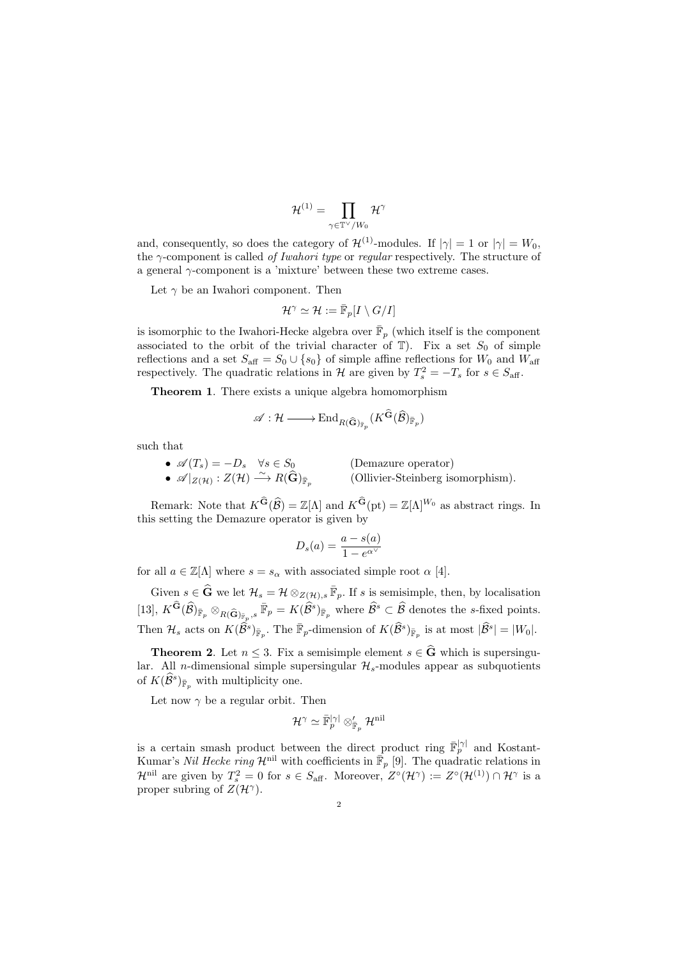$$
\mathcal{H}^{(1)}=\prod_{\gamma\in\mathbb{T}^\vee/W_0}\mathcal{H}^\gamma
$$

and, consequently, so does the category of  $\mathcal{H}^{(1)}$ -modules. If  $|\gamma|=1$  or  $|\gamma|=W_0$ , the  $\gamma$ -component is called *of Iwahori type* or *regular* respectively. The structure of a general  $\gamma$ -component is a 'mixture' between these two extreme cases.

Let  $\gamma$  be an Iwahori component. Then

$$
\mathcal{H}^{\gamma} \simeq \mathcal{H} := \bar{\mathbb{F}}_p[I \setminus G/I]
$$

is isomorphic to the Iwahori-Hecke algebra over  $\bar{\mathbb{F}}_p$  (which itself is the component associated to the orbit of the trivial character of  $\mathbb{T}$ ). Fix a set  $S_0$  of simple reflections and a set  $S_{\text{aff}} = S_0 \cup \{s_0\}$  of simple affine reflections for  $W_0$  and  $W_{\text{aff}}$ respectively. The quadratic relations in  $\mathcal{H}$  are given by  $T_s^2 = -T_s$  for  $s \in S_{\text{aff}}$ .

Theorem 1. There exists a unique algebra homomorphism

$$
\mathscr{A}: \mathcal{H} \longrightarrow \textup{End}_{R(\widehat{\mathbf{G}})_{\overline{\mathbb{F}}_p}}(K^{\widehat{\mathbf{G}}}(\widehat{\mathcal{B}})_{\overline{\mathbb{F}}_p})
$$

such that

•  $\mathscr{A}(T_s) = -D_s \quad \forall s \in S_0$  (Demazure operator)  $\bullet$   $\mathscr{A}|_{Z(\mathcal{H})}: Z(\mathcal{H}) \stackrel{\sim}{\longrightarrow} R(\widehat{\mathbf{G}})_{\bar{\mathbb{F}}_p}$ (Ollivier-Steinberg isomorphism).

Remark: Note that  $K^{\widehat{\mathbf{G}}}(\widehat{\mathcal{B}}) = \mathbb{Z}[\Lambda]$  and  $K^{\widehat{\mathbf{G}}}(\mathrm{pt}) = \mathbb{Z}[\Lambda]^{W_0}$  as abstract rings. In this setting the Demazure operator is given by

$$
D_s(a) = \frac{a - s(a)}{1 - e^{\alpha^{\vee}}}
$$

for all  $a \in \mathbb{Z}[\Lambda]$  where  $s = s_{\alpha}$  with associated simple root  $\alpha$  [4].

Given  $s \in \widehat{G}$  we let  $\mathcal{H}_s = \mathcal{H} \otimes_{Z(\mathcal{H}), s} \overline{\mathbb{F}}_p$ . If s is semisimple, then, by localisation [13],  $K^{\widehat{\mathbf{G}}}(\widehat{\mathcal{B}})_{\overline{\mathbb{F}}_p} \otimes_{R(\widehat{\mathbf{G}})_{\overline{\mathbb{F}}_p},s} \overline{\mathbb{F}}_p = K(\widehat{\mathcal{B}}^s)_{\overline{\mathbb{F}}_p}$  where  $\widehat{\mathcal{B}}^s \subset \widehat{\mathcal{B}}$  denotes the s-fixed points. Then  $\mathcal{H}_s$  acts on  $K(\widehat{\mathcal{B}}^s)_{\bar{\mathbb{F}}_p}$ . The  $\bar{\mathbb{F}}_p$ -dimension of  $K(\widehat{\mathcal{B}}^s)_{\bar{\mathbb{F}}_p}$  is at most  $|\widehat{\mathcal{B}}^s| = |W_0|$ .

**Theorem 2.** Let  $n \leq 3$ . Fix a semisimple element  $s \in \widehat{G}$  which is supersingular. All *n*-dimensional simple supersingular  $\mathcal{H}_s$ -modules appear as subquotients of  $K(\widehat{\mathcal{B}}^s)_{\bar{\mathbb{F}}_p}$  with multiplicity one.

Let now  $\gamma$  be a regular orbit. Then

$$
\mathcal{H}^{\gamma} \simeq \bar{\mathbb{F}}_p^{|\gamma|} \otimes_{\bar{\mathbb{F}}_p}^{\prime} \mathcal{H}^{\text{nil}}
$$

is a certain smash product between the direct product ring  $\bar{\mathbb{F}}_p^{|\gamma|}$  and Kostant-Kumar's Nil Hecke ring  $\mathcal{H}^{\text{nil}}$  with coefficients in  $\overline{\mathbb{F}}_p$  [9]. The quadratic relations in  $\mathcal{H}^{\text{nil}}$  are given by  $T_s^2 = 0$  for  $s \in S_{\text{aff}}$ . Moreover,  $Z^{\circ}(\mathcal{H}^{\gamma}) := Z^{\circ}(\mathcal{H}^{(1)}) \cap \mathcal{H}^{\gamma}$  is a proper subring of  $Z(\mathcal{H}^{\gamma})$ .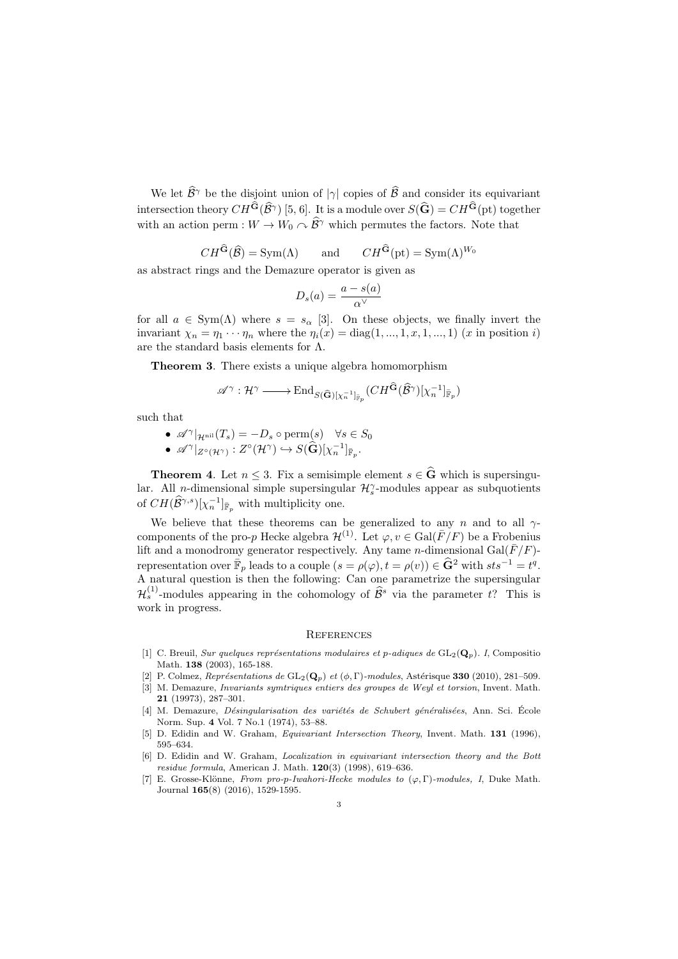We let  $\widehat{\mathcal{B}}^{\gamma}$  be the disjoint union of  $|\gamma|$  copies of  $\widehat{\mathcal{B}}$  and consider its equivariant intersection theory  $CH^{\mathbf{G}}(\widehat{\mathcal{B}}^{\gamma})$  [5, 6]. It is a module over  $S(\widehat{\mathbf{G}}) = CH^{\mathbf{G}}(\text{pt})$  together with an action perm :  $W \to W_0 \curvearrowright \hat{\mathcal{B}}^{\gamma}$  which permutes the factors. Note that

$$
CH^{\tilde{G}}(\hat{B}) = Sym(\Lambda)
$$
 and  $CH^{\tilde{G}}(\mathrm{pt}) = Sym(\Lambda)^{W_0}$ 

as abstract rings and the Demazure operator is given as

$$
D_s(a) = \frac{a - s(a)}{\alpha^{\vee}}
$$

for all  $a \in \text{Sym}(\Lambda)$  where  $s = s_\alpha$  [3]. On these objects, we finally invert the invariant  $\chi_n = \eta_1 \cdots \eta_n$  where the  $\eta_i(x) = \text{diag}(1, ..., 1, x, 1, ..., 1)$  (x in position i) are the standard basis elements for Λ.

Theorem 3. There exists a unique algebra homomorphism

$$
\mathscr{A}^\gamma: \mathcal{H}^\gamma \longrightarrow \text{End}_{S(\widehat{\mathbf{G}})[\chi_n^{-1}]_{\overline{\mathbb{F}}_p}}(CH^{\widehat{\mathbf{G}}}(\widehat{\mathcal{B}}^\gamma)[\chi_n^{-1}]_{\overline{\mathbb{F}}_p})
$$

such that

\n- \n
$$
\mathscr{A}^\gamma|_{\mathcal{H}^{\text{nil}}}(T_s) = -D_s \circ \text{perm}(s) \quad \forall s \in S_0
$$
\n
\n- \n $\mathscr{A}^\gamma|_{Z^\circ(\mathcal{H}^\gamma)} : Z^\circ(\mathcal{H}^\gamma) \hookrightarrow S(\widehat{\mathbf{G}})[\chi_n^{-1}]_{\mathbb{F}_p}.$ \n
\n

**Theorem 4.** Let  $n \leq 3$ . Fix a semisimple element  $s \in \widehat{G}$  which is supersingular. All *n*-dimensional simple supersingular  $\mathcal{H}_s^{\gamma}$ -modules appear as subquotients of  $CH(\widehat{\mathcal{B}}^{\gamma,s})[\chi_n^{-1}]_{\bar{\mathbb{F}}_p}$  with multiplicity one.

We believe that these theorems can be generalized to any n and to all  $\gamma$ components of the pro-p Hecke algebra  $\mathcal{H}^{(1)}$ . Let  $\varphi, v \in \text{Gal}(\overline{F}/F)$  be a Frobenius lift and a monodromy generator respectively. Any tame *n*-dimensional Gal( $\bar{F}/F$ )representation over  $\overline{\mathbb{F}}_p$  leads to a couple  $(s = \rho(\varphi), t = \rho(v)) \in \widehat{\mathbf{G}}^2$  with  $sts^{-1} = t^q$ . A natural question is then the following: Can one parametrize the supersingular  $\mathcal{H}_s^{(1)}$ -modules appearing in the cohomology of  $\widehat{\mathcal{B}}^s$  via the parameter t? This is work in progress.

## **REFERENCES**

- [1] C. Breuil, Sur quelques représentations modulaires et p-adiques de  $GL_2(\mathbf{Q}_p)$ . I, Compositio Math. 138 (2003), 165-188.
- [2] P. Colmez, Représentations de  $GL_2(\mathbf{Q}_p)$  et  $(\phi, \Gamma)$ -modules, Astérisque 330 (2010), 281–509.
- [3] M. Demazure, Invariants symtriques entiers des groupes de Weyl et torsion, Invent. Math. 21 (19973), 287–301.
- [4] M. Demazure, *Désingularisation des variétés de Schubert généralisées*, Ann. Sci. École Norm. Sup. 4 Vol. 7 No.1 (1974), 53–88.
- [5] D. Edidin and W. Graham, *Equivariant Intersection Theory*, Invent. Math. **131** (1996), 595–634.
- [6] D. Edidin and W. Graham, Localization in equivariant intersection theory and the Bott residue formula, American J. Math. 120(3) (1998), 619–636.
- E. Grosse-Klönne, From pro-p-Iwahori-Hecke modules to  $(\varphi, \Gamma)$ -modules, I, Duke Math. Journal 165(8) (2016), 1529-1595.